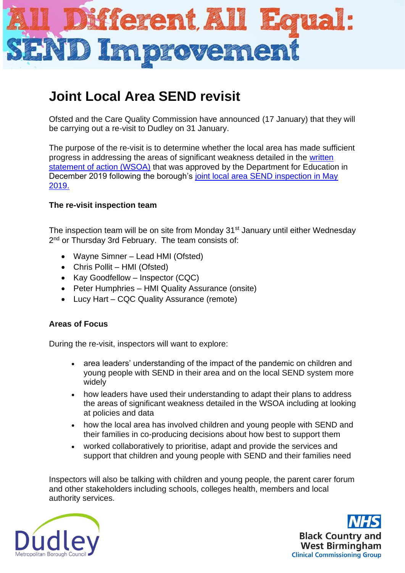

# **Joint Local Area SEND revisit**

Ofsted and the Care Quality Commission have announced (17 January) that they will be carrying out a re-visit to Dudley on 31 January.

The purpose of the re-visit is to determine whether the local area has made sufficient progress in addressing the areas of significant weakness detailed in the [written](https://3c9e646b-a5bf-40d5-ae9a-7051f18ffcb9.filesusr.com/ugd/51be5e_062c7107ad7b42158450fb81dd14ef27.pdf)  [statement of action \(WSOA\)](https://3c9e646b-a5bf-40d5-ae9a-7051f18ffcb9.filesusr.com/ugd/51be5e_062c7107ad7b42158450fb81dd14ef27.pdf) that was approved by the Department for Education in December 2019 following the borough's [joint local area SEND inspection in May](https://www.dudley.gov.uk/media/12478/send-inspection-dudley-final-1672019.pdf)  [2019.](https://www.dudley.gov.uk/media/12478/send-inspection-dudley-final-1672019.pdf)

## **The re-visit inspection team**

The inspection team will be on site from Monday 31<sup>st</sup> January until either Wednesday 2<sup>nd</sup> or Thursday 3rd February. The team consists of:

- Wayne Simner Lead HMI (Ofsted)
- Chris Pollit HMI (Ofsted)
- Kay Goodfellow Inspector (CQC)
- Peter Humphries HMI Quality Assurance (onsite)
- Lucy Hart CQC Quality Assurance (remote)

### **Areas of Focus**

During the re-visit, inspectors will want to explore:

- area leaders' understanding of the impact of the pandemic on children and young people with SEND in their area and on the local SEND system more widely
- how leaders have used their understanding to adapt their plans to address the areas of significant weakness detailed in the WSOA including at looking at policies and data
- how the local area has involved children and young people with SEND and their families in co-producing decisions about how best to support them
- worked collaboratively to prioritise, adapt and provide the services and support that children and young people with SEND and their families need

Inspectors will also be talking with children and young people, the parent carer forum and other stakeholders including schools, colleges health, members and local authority services.



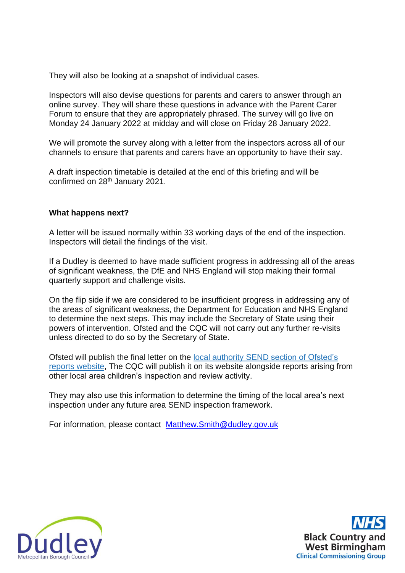They will also be looking at a snapshot of individual cases.

Inspectors will also devise questions for parents and carers to answer through an online survey. They will share these questions in advance with the Parent Carer Forum to ensure that they are appropriately phrased. The survey will go live on Monday 24 January 2022 at midday and will close on Friday 28 January 2022.

We will promote the survey along with a letter from the inspectors across all of our channels to ensure that parents and carers have an opportunity to have their say.

A draft inspection timetable is detailed at the end of this briefing and will be confirmed on 28<sup>th</sup> January 2021.

### **What happens next?**

A letter will be issued normally within 33 working days of the end of the inspection. Inspectors will detail the findings of the visit.

If a Dudley is deemed to have made sufficient progress in addressing all of the areas of significant weakness, the DfE and NHS England will stop making their formal quarterly support and challenge visits.

On the flip side if we are considered to be insufficient progress in addressing any of the areas of significant weakness, the Department for Education and NHS England to determine the next steps. This may include the Secretary of State using their powers of intervention. Ofsted and the CQC will not carry out any further re-visits unless directed to do so by the Secretary of State.

Ofsted will publish the final letter on the local authority SEND [section of Ofsted's](https://reports.ofsted.gov.uk/search?q=&location=&lat=&lon=&radius=&level_1_types=4&level_2_types%5B%5D=18)  [reports website,](https://reports.ofsted.gov.uk/search?q=&location=&lat=&lon=&radius=&level_1_types=4&level_2_types%5B%5D=18) The CQC will publish it on its website alongside reports arising from other local area children's inspection and review activity.

They may also use this information to determine the timing of the local area's next inspection under any future area SEND inspection framework.

For information, please contact [Matthew.Smith@dudley.gov.uk](mailto:Matthew.Smith@dudley.gov.uk)



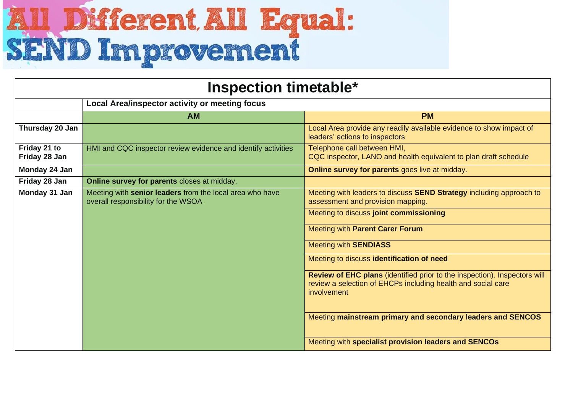# **All Different All Equal:**<br>SEND Improvement

| <b>Inspection timetable*</b>  |                                                                                                 |                                                                                                                                                          |  |
|-------------------------------|-------------------------------------------------------------------------------------------------|----------------------------------------------------------------------------------------------------------------------------------------------------------|--|
|                               | Local Area/inspector activity or meeting focus                                                  |                                                                                                                                                          |  |
|                               | <b>AM</b>                                                                                       | <b>PM</b>                                                                                                                                                |  |
| Thursday 20 Jan               |                                                                                                 | Local Area provide any readily available evidence to show impact of<br>leaders' actions to inspectors                                                    |  |
| Friday 21 to<br>Friday 28 Jan | HMI and CQC inspector review evidence and identify activities                                   | Telephone call between HMI,<br>CQC inspector, LANO and health equivalent to plan draft schedule                                                          |  |
| Monday 24 Jan                 |                                                                                                 | Online survey for parents goes live at midday.                                                                                                           |  |
| Friday 28 Jan                 | Online survey for parents closes at midday.                                                     |                                                                                                                                                          |  |
| Monday 31 Jan                 | Meeting with senior leaders from the local area who have<br>overall responsibility for the WSOA | Meeting with leaders to discuss SEND Strategy including approach to<br>assessment and provision mapping.                                                 |  |
|                               |                                                                                                 | Meeting to discuss joint commissioning                                                                                                                   |  |
|                               |                                                                                                 | Meeting with Parent Carer Forum                                                                                                                          |  |
|                               |                                                                                                 | <b>Meeting with SENDIASS</b>                                                                                                                             |  |
|                               |                                                                                                 | Meeting to discuss identification of need                                                                                                                |  |
|                               |                                                                                                 | Review of EHC plans (identified prior to the inspection). Inspectors will<br>review a selection of EHCPs including health and social care<br>involvement |  |
|                               |                                                                                                 | Meeting mainstream primary and secondary leaders and SENCOS                                                                                              |  |
|                               |                                                                                                 | Meeting with specialist provision leaders and SENCOs                                                                                                     |  |